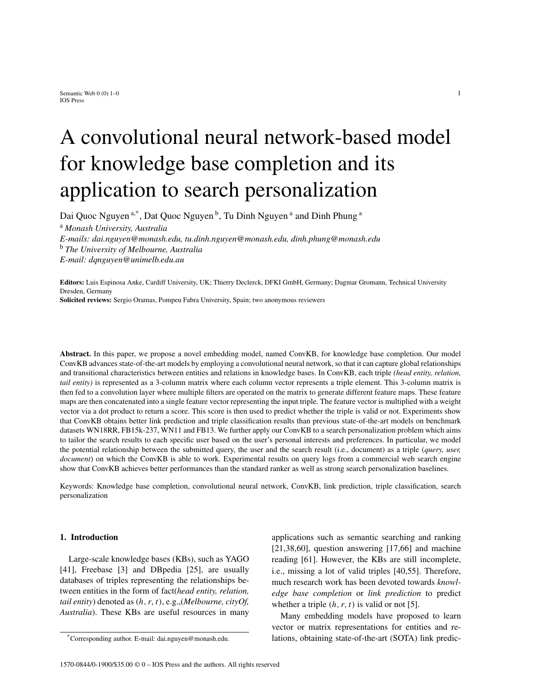# A convolutional neural network-based model for knowledge base completion and its application to search personalization

Dai Quoc Nguyen<sup>a,\*</sup>, Dat Quoc Nguyen<sup>b</sup>, Tu Dinh Nguyen<sup>a</sup> and Dinh Phung<sup>a</sup>

<sup>a</sup> *Monash University, Australia E-mails: dai.nguyen@monash.edu, tu.dinh.nguyen@monash.edu, dinh.phung@monash.edu* <sup>b</sup> *The University of Melbourne, Australia E-mail: dqnguyen@unimelb.edu.au*

**Editors:** Luis Espinosa Anke, Cardiff University, UK; Thierry Declerck, DFKI GmbH, Germany; Dagmar Gromann, Technical University Dresden, Germany

**Solicited reviews:** Sergio Oramas, Pompeu Fabra University, Spain; two anonymous reviewers

**Abstract.** In this paper, we propose a novel embedding model, named ConvKB, for knowledge base completion. Our model ConvKB advances state-of-the-art models by employing a convolutional neural network, so that it can capture global relationships and transitional characteristics between entities and relations in knowledge bases. In ConvKB, each triple *(head entity, relation, tail entity*) is represented as a 3-column matrix where each column vector represents a triple element. This 3-column matrix is then fed to a convolution layer where multiple filters are operated on the matrix to generate different feature maps. These feature maps are then concatenated into a single feature vector representing the input triple. The feature vector is multiplied with a weight vector via a dot product to return a score. This score is then used to predict whether the triple is valid or not. Experiments show that ConvKB obtains better link prediction and triple classification results than previous state-of-the-art models on benchmark datasets WN18RR, FB15k-237, WN11 and FB13. We further apply our ConvKB to a search personalization problem which aims to tailor the search results to each specific user based on the user's personal interests and preferences. In particular, we model the potential relationship between the submitted query, the user and the search result (i.e., document) as a triple (*query, user, document*) on which the ConvKB is able to work. Experimental results on query logs from a commercial web search engine show that ConvKB achieves better performances than the standard ranker as well as strong search personalization baselines.

Keywords: Knowledge base completion, convolutional neural network, ConvKB, link prediction, triple classification, search personalization

# **1. Introduction**

Large-scale knowledge bases (KBs), such as YAGO [41], Freebase [3] and DBpedia [25], are usually databases of triples representing the relationships between entities in the form of fact(*head entity, relation, tail entity*) denoted as (h, r, t), e.g.,(*Melbourne, cityOf, Australia*). These KBs are useful resources in many applications such as semantic searching and ranking  $[21,38,60]$ , question answering  $[17,66]$  and machine reading [61]. However, the KBs are still incomplete, i.e., missing a lot of valid triples [40,55]. Therefore, much research work has been devoted towards *knowledge base completion* or *link prediction* to predict whether a triple  $(h, r, t)$  is valid or not [5].

Many embedding models have proposed to learn vector or matrix representations for entities and relations, obtaining state-of-the-art (SOTA) link predic-

<sup>\*</sup>Corresponding author. E-mail: dai.nguyen@monash.edu.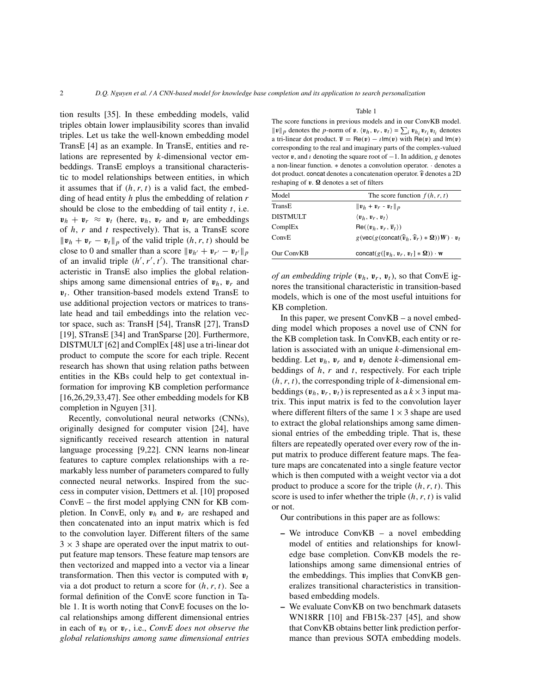tion results [35]. In these embedding models, valid triples obtain lower implausibility scores than invalid triples. Let us take the well-known embedding model TransE [4] as an example. In TransE, entities and relations are represented by k-dimensional vector embeddings. TransE employs a transitional characteristic to model relationships between entities, in which it assumes that if  $(h, r, t)$  is a valid fact, the embedding of head entity  $h$  plus the embedding of relation  $r$ should be close to the embedding of tail entity  $t$ , i.e.  $v_h + v_r \approx v_t$  (here,  $v_h$ ,  $v_r$  and  $v_t$  are embeddings of  $h$ ,  $r$  and  $t$  respectively). That is, a TransE score  $||\mathbf{v}_h + \mathbf{v}_r - \mathbf{v}_t||_p$  of the valid triple  $(h, r, t)$  should be close to 0 and smaller than a score  $||\mathbf{v}_{h'} + \mathbf{v}_{r'} - \mathbf{v}_{t'}||_p$ of an invalid triple  $(h', r', t')$ . The transitional characteristic in TransE also implies the global relationships among same dimensional entries of  $v_h$ ,  $v_r$  and  $v_t$ . Other transition-based models extend TransE to use additional projection vectors or matrices to translate head and tail embeddings into the relation vector space, such as: TransH [54], TransR [27], TransD [19], STransE [34] and TranSparse [20]. Furthermore, DISTMULT [62] and ComplEx [48] use a tri-linear dot product to compute the score for each triple. Recent research has shown that using relation paths between entities in the KBs could help to get contextual information for improving KB completion performance [16,26,29,33,47]. See other embedding models for KB completion in Nguyen [31].

Recently, convolutional neural networks (CNNs), originally designed for computer vision [24], have significantly received research attention in natural language processing [9,22]. CNN learns non-linear features to capture complex relationships with a remarkably less number of parameters compared to fully connected neural networks. Inspired from the success in computer vision, Dettmers et al. [10] proposed ConvE – the first model applying CNN for KB completion. In ConvE, only  $v_h$  and  $v_r$  are reshaped and then concatenated into an input matrix which is fed to the convolution layer. Different filters of the same  $3 \times 3$  shape are operated over the input matrix to output feature map tensors. These feature map tensors are then vectorized and mapped into a vector via a linear transformation. Then this vector is computed with  $v_t$ via a dot product to return a score for  $(h, r, t)$ . See a formal definition of the ConvE score function in Table 1. It is worth noting that ConvE focuses on the local relationships among different dimensional entries in each of  $v_h$  or  $v_r$ , i.e., *ConvE* does not observe the *global relationships among same dimensional entries*

#### Table 1

The score functions in previous models and in our ConvKB model.  $||v||_p$  denotes the *p*-norm of **v**.  $\langle v_h, v_r, v_t \rangle = \sum_i v_{h_i} v_{r_i} v_{t_i}$  denotes a tri-linear dot product.  $\overline{v} = \text{Re}(v) - \iota \text{Im}(v)$  with  $\text{Re}(v)$  and  $\text{Im}(v)$ corresponding to the real and imaginary parts of the complex-valued vector  $v$ , and  $\iota$  denoting the square root of  $-1$ . In addition, g denotes a non-linear function. ∗ denotes a convolution operator. · denotes a dot product. concat denotes a concatenation operator.  $\hat{v}$  denotes a 2D reshaping of  $v$ .  $\Omega$  denotes a set of filters

| The score function $f(h, r, t)$                                                                                                                  |
|--------------------------------------------------------------------------------------------------------------------------------------------------|
| $  \boldsymbol{v}_h + \boldsymbol{v}_r - \boldsymbol{v}_t  _p$                                                                                   |
| $\langle v_h, v_r, v_t \rangle$                                                                                                                  |
| $\text{Re}(\langle v_h, v_r, \overline{v}_t \rangle)$                                                                                            |
| $g(\text{vec}(g(\text{concat}(\widehat{\boldsymbol{v}}_h, \widehat{\boldsymbol{v}}_r) * \mathbf{\Omega}))\boldsymbol{W}) \cdot \boldsymbol{v}_t$ |
| concat( $g([v_h, v_r, v_t] * \Omega)$ ) · w                                                                                                      |
|                                                                                                                                                  |

*of an embedding triple*  $(v_h, v_r, v_t)$ , so that ConvE ignores the transitional characteristic in transition-based models, which is one of the most useful intuitions for KB completion.

In this paper, we present ConvKB – a novel embedding model which proposes a novel use of CNN for the KB completion task. In ConvKB, each entity or relation is associated with an unique k-dimensional embedding. Let  $v_h$ ,  $v_r$  and  $v_t$  denote k-dimensional embeddings of  $h$ ,  $r$  and  $t$ , respectively. For each triple  $(h, r, t)$ , the corresponding triple of k-dimensional embeddings  $(v_h, v_r, v_t)$  is represented as a  $k \times 3$  input matrix. This input matrix is fed to the convolution layer where different filters of the same  $1 \times 3$  shape are used to extract the global relationships among same dimensional entries of the embedding triple. That is, these filters are repeatedly operated over every row of the input matrix to produce different feature maps. The feature maps are concatenated into a single feature vector which is then computed with a weight vector via a dot product to produce a score for the triple  $(h, r, t)$ . This score is used to infer whether the triple  $(h, r, t)$  is valid or not.

Our contributions in this paper are as follows:

- **–** We introduce ConvKB a novel embedding model of entities and relationships for knowledge base completion. ConvKB models the relationships among same dimensional entries of the embeddings. This implies that ConvKB generalizes transitional characteristics in transitionbased embedding models.
- **–** We evaluate ConvKB on two benchmark datasets WN18RR [10] and FB15k-237 [45], and show that ConvKB obtains better link prediction performance than previous SOTA embedding models.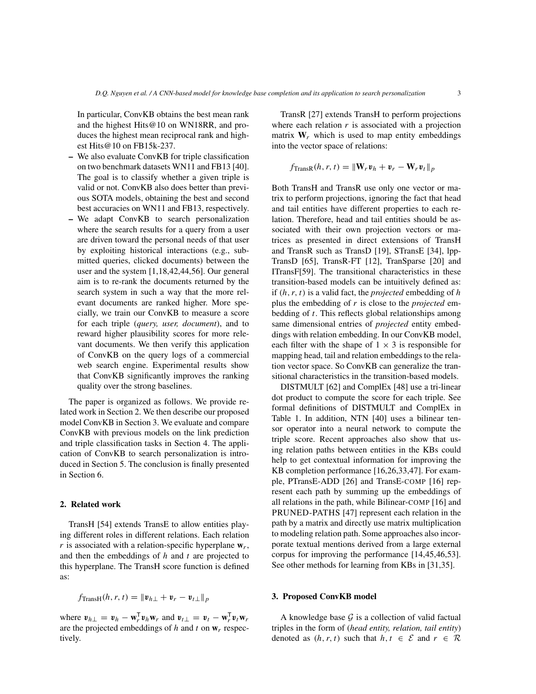In particular, ConvKB obtains the best mean rank and the highest Hits@10 on WN18RR, and produces the highest mean reciprocal rank and highest Hits@10 on FB15k-237.

- **–** We also evaluate ConvKB for triple classification on two benchmark datasets WN11 and FB13 [40]. The goal is to classify whether a given triple is valid or not. ConvKB also does better than previous SOTA models, obtaining the best and second best accuracies on WN11 and FB13, respectively.
- **–** We adapt ConvKB to search personalization where the search results for a query from a user are driven toward the personal needs of that user by exploiting historical interactions (e.g., submitted queries, clicked documents) between the user and the system [1,18,42,44,56]. Our general aim is to re-rank the documents returned by the search system in such a way that the more relevant documents are ranked higher. More specially, we train our ConvKB to measure a score for each triple (*query, user, document*), and to reward higher plausibility scores for more relevant documents. We then verify this application of ConvKB on the query logs of a commercial web search engine. Experimental results show that ConvKB significantly improves the ranking quality over the strong baselines.

The paper is organized as follows. We provide related work in Section 2. We then describe our proposed model ConvKB in Section 3. We evaluate and compare ConvKB with previous models on the link prediction and triple classification tasks in Section 4. The application of ConvKB to search personalization is introduced in Section 5. The conclusion is finally presented in Section 6.

## **2. Related work**

TransH [54] extends TransE to allow entities playing different roles in different relations. Each relation  $r$  is associated with a relation-specific hyperplane  $w_r$ , and then the embeddings of  $h$  and  $t$  are projected to this hyperplane. The TransH score function is defined as:

$$
f_{\text{TransH}}(h, r, t) = ||\mathbf{v}_{h\perp} + \mathbf{v}_r - \mathbf{v}_{t\perp}||_p
$$

where  $v_{h\perp} = v_h - \mathbf{w}_r^{\mathsf{T}} v_h \mathbf{w}_r$  and  $v_{t\perp} = v_t - \mathbf{w}_r^{\mathsf{T}} v_t \mathbf{w}_r$ are the projected embeddings of h and t on  $w_r$  respectively.

TransR [27] extends TransH to perform projections where each relation  $r$  is associated with a projection matrix  $W_r$  which is used to map entity embeddings into the vector space of relations:

$$
f_{\text{TransR}}(h, r, t) = \|\mathbf{W}_r \mathbf{v}_h + \mathbf{v}_r - \mathbf{W}_r \mathbf{v}_t\|_p
$$

Both TransH and TransR use only one vector or matrix to perform projections, ignoring the fact that head and tail entities have different properties to each relation. Therefore, head and tail entities should be associated with their own projection vectors or matrices as presented in direct extensions of TransH and TransR such as TransD [19], STransE [34], lpp-TransD [65], TransR-FT [12], TranSparse [20] and ITransF[59]. The transitional characteristics in these transition-based models can be intuitively defined as: if (h, r, t) is a valid fact, the *projected* embedding of h plus the embedding of r is close to the *projected* embedding of  $t$ . This reflects global relationships among same dimensional entries of *projected* entity embeddings with relation embedding. In our ConvKB model, each filter with the shape of  $1 \times 3$  is responsible for mapping head, tail and relation embeddings to the relation vector space. So ConvKB can generalize the transitional characteristics in the transition-based models.

DISTMULT [62] and ComplEx [48] use a tri-linear dot product to compute the score for each triple. See formal definitions of DISTMULT and ComplEx in Table 1. In addition, NTN [40] uses a bilinear tensor operator into a neural network to compute the triple score. Recent approaches also show that using relation paths between entities in the KBs could help to get contextual information for improving the KB completion performance [16,26,33,47]. For example, PTransE-ADD [26] and TransE-COMP [16] represent each path by summing up the embeddings of all relations in the path, while Bilinear-COMP [16] and PRUNED-PATHS [47] represent each relation in the path by a matrix and directly use matrix multiplication to modeling relation path. Some approaches also incorporate textual mentions derived from a large external corpus for improving the performance [14,45,46,53]. See other methods for learning from KBs in [31,35].

## **3. Proposed ConvKB model**

A knowledge base  $\mathcal G$  is a collection of valid factual triples in the form of (*head entity, relation, tail entity*) denoted as  $(h, r, t)$  such that  $h, t \in \mathcal{E}$  and  $r \in \mathcal{R}$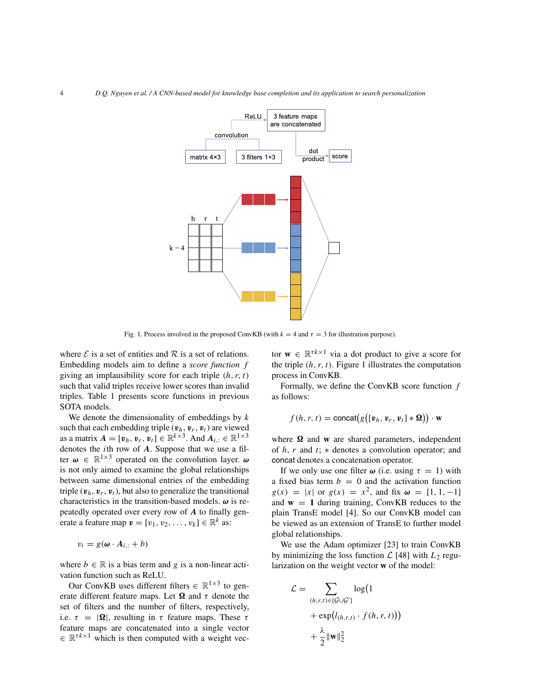

Fig. 1. Process involved in the proposed ConvKB (with  $k = 4$  and  $\tau = 3$  for illustration purpose).

where  $\mathcal E$  is a set of entities and  $\mathcal R$  is a set of relations. Embedding models aim to define a *score function* f giving an implausibility score for each triple  $(h, r, t)$ such that valid triples receive lower scores than invalid triples. Table 1 presents score functions in previous SOTA models.

We denote the dimensionality of embeddings by  $k$ such that each embedding triple  $(v_h, v_r, v_t)$  are viewed as a matrix  $A = [\mathbf{v}_h, \mathbf{v}_r, \mathbf{v}_t] \in \mathbb{R}^{k \times 3}$ . And  $A_{i,:} \in \mathbb{R}^{1 \times 3}$ denotes the *i*th row of  $\boldsymbol{A}$ . Suppose that we use a filter  $\omega \in \mathbb{R}^{1 \times 3}$  operated on the convolution layer.  $\omega$ is not only aimed to examine the global relationships between same dimensional entries of the embedding triple  $(v_h, v_r, v_t)$ , but also to generalize the transitional characteristics in the transition-based models.  $\omega$  is repeatedly operated over every row of A to finally generate a feature map  $\mathbf{v} = [v_1, v_2, \dots, v_k] \in \mathbb{R}^k$  as:

$$
v_i = g(\boldsymbol{\omega} \cdot \boldsymbol{A}_{i,:} + b)
$$

where  $b \in \mathbb{R}$  is a bias term and g is a non-linear activation function such as ReLU.

Our ConvKB uses different filters  $\in \mathbb{R}^{1 \times 3}$  to generate different feature maps. Let  $\Omega$  and  $\tau$  denote the set of filters and the number of filters, respectively, i.e.  $\tau = |\Omega|$ , resulting in  $\tau$  feature maps. These  $\tau$ feature maps are concatenated into a single vector  $\in \mathbb{R}^{\tau k \times 1}$  which is then computed with a weight vec-

tor  $\mathbf{w} \in \mathbb{R}^{\tau k \times 1}$  via a dot product to give a score for the triple  $(h, r, t)$ . Figure 1 illustrates the computation process in ConvKB.

Formally, we define the ConvKB score function  $f$ as follows:

$$
f(h,r,t) = \text{concat}(g([v_h, v_r, v_t] * \Omega)) \cdot \mathbf{w}
$$

where  $\Omega$  and **w** are shared parameters, independent of  $h, r$  and  $t$ ;  $\ast$  denotes a convolution operator; and concat denotes a concatenation operator.

If we only use one filter  $\omega$  (i.e. using  $\tau = 1$ ) with a fixed bias term  $b = 0$  and the activation function  $g(x) = |x|$  or  $g(x) = x^2$ , and fix  $\omega = [1, 1, -1]$ and  $w = 1$  during training, ConvKB reduces to the plain TransE model [4]. So our ConvKB model can be viewed as an extension of TransE to further model global relationships.

We use the Adam optimizer [23] to train ConvKB by minimizing the loss function  $\mathcal{L}$  [48] with  $L_2$  regularization on the weight vector **w** of the model:

$$
\mathcal{L} = \sum_{(h,r,t) \in \{\mathcal{G} \cup \mathcal{G}'\}} \log(1 + \exp(l_{(h,r,t)} \cdot f(h,r,t))) + \frac{\lambda}{2} ||\mathbf{w}||_2^2
$$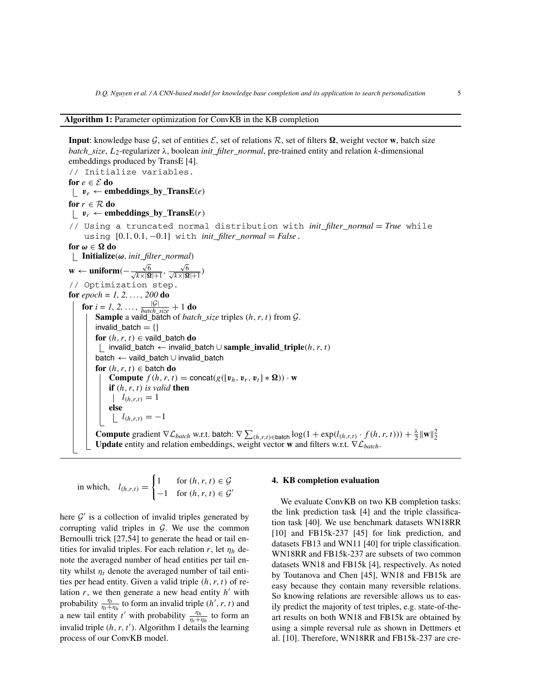#### **Algorithm 1:** Parameter optimization for ConvKB in the KB completion

**Input**: knowledge base  $\mathcal{G}$ , set of entities  $\mathcal{E}$ , set of relations  $\mathcal{R}$ , set of filters  $\Omega$ , weight vector **w**, batch size *batch\_size*,  $L_2$ -regularizer  $\lambda$ , boolean *init\_filter\_normal*, pre-trained entity and relation k-dimensional embeddings produced by TransE [4].

// Initialize variables. **for**  $e \in \mathcal{E}$  **do**  $\mathbf{v}_e \leftarrow \mathbf{embeddings\_by\_TransE}(e)$ **for**  $r \in \mathcal{R}$  **do**  $v_r \leftarrow$  **embeddings\_by\_TransE** $(r)$ // Using a truncated normal distribution with *init*\_*filter*\_*normal* = *True* while using [0.1, 0.1, −0.1] with *init*\_*filter*\_*normal* = *False*. **for**  $\omega \in \Omega$  do **Initialize**(ω, *init*\_*filter*\_*normal*) **w** ← **uniform**( $-\frac{\sqrt{16}}{\sqrt{k}\times10^{16}}$  $\frac{\sqrt{6}}{\sqrt{k}\times|\mathbf{\Omega}|+1}, \frac{\sqrt{ }}{\sqrt{k}\times|3}$  $\frac{\sqrt{6}}{\sqrt{k}\times|\mathbf{\Omega}|+1})$ // Optimization step. **for** *epoch = 1, 2, . . . , 200* **do for**  $i = 1, 2, ..., \frac{|G|}{batch\_size} + 1$  **do Sample** a vaild\_batch of *batch*\_*size* triples (h, r, t) from G. invalid\_batch  $= \{\}$ **for**  $(h, r, t) \in$  vaild batch **do** invalid\_batch <sup>←</sup> invalid\_batch <sup>∪</sup> **sample**\_**invalid**\_**triple**(h, r, t) batch <sup>←</sup> vaild\_batch <sup>∪</sup> invalid\_batch **for**  $(h, r, t) \in$  batch **do Compute**  $f(h, r, t) = \text{concat}(g([v_h, v_r, v_t] * \Omega)) \cdot \mathbf{w}$ **if** (h, r, t) *is valid* **then**  $l_{(h,r,t)} = 1$ **else**  $l_{(h,r,t)} = -1$ **Compute** gradient  $\nabla \mathcal{L}_{batch}$  w.r.t. batch:  $\nabla \sum_{(h,r,t) \in \text{batch}} \log(1 + \exp(l_{(h,r,t)} \cdot f(h,r,t))) + \frac{\lambda}{2} ||\mathbf{w}||_2^2$ **Update** entity and relation embeddings, weight vector **<sup>w</sup>** and filters w.r.t. <sup>∇</sup>L*batch*.

in which, 
$$
l_{(h,r,t)} = \begin{cases} 1 & \text{for } (h,r,t) \in \mathcal{G} \\ -1 & \text{for } (h,r,t) \in \mathcal{G}' \end{cases}
$$

here  $\mathcal{G}'$  is a collection of invalid triples generated by corrupting valid triples in  $G$ . We use the common Bernoulli trick [27,54] to generate the head or tail entities for invalid triples. For each relation r, let  $\eta_h$  denote the averaged number of head entities per tail entity whilst  $\eta_t$  denote the averaged number of tail entities per head entity. Given a valid triple  $(h, r, t)$  of relation  $r$ , we then generate a new head entity  $h'$  with probability  $\frac{\eta_t}{\eta_t + \eta_h}$  to form an invalid triple  $(h', r, t)$  and a new tail entity t' with probability  $\frac{\eta_h}{\eta_t + \eta_h}$  to form an invalid triple  $(h, r, t')$ . Algorithm 1 details the learning process of our ConvKB model.

#### **4. KB completion evaluation**

We evaluate ConvKB on two KB completion tasks: the link prediction task [4] and the triple classification task [40]. We use benchmark datasets WN18RR [10] and FB15k-237 [45] for link prediction, and datasets FB13 and WN11 [40] for triple classification. WN18RR and FB15k-237 are subsets of two common datasets WN18 and FB15k [4], respectively. As noted by Toutanova and Chen [45], WN18 and FB15k are easy because they contain many reversible relations. So knowing relations are reversible allows us to easily predict the majority of test triples, e.g. state-of-theart results on both WN18 and FB15k are obtained by using a simple reversal rule as shown in Dettmers et al. [10]. Therefore, WN18RR and FB15k-237 are cre-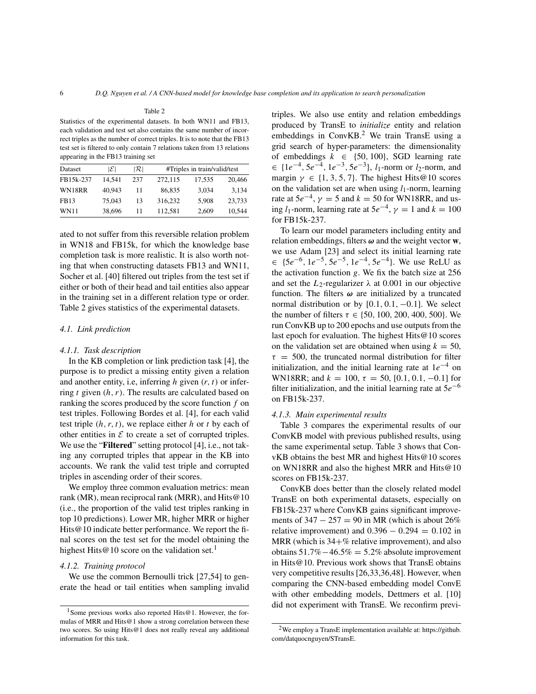# Table 2 Statistics of the experimental datasets. In both WN11 and FB13, each validation and test set also contains the same number of incorrect triples as the number of correct triples. It is to note that the FB13 test set is filtered to only contain 7 relations taken from 13 relations appearing in the FB13 training set

| Dataset     | ۱E۱    | R   |         | #Triples in train/valid/test |        |
|-------------|--------|-----|---------|------------------------------|--------|
| FB15k-237   | 14.541 | 237 | 272,115 | 17,535                       | 20,466 |
| WN18RR      | 40.943 | 11  | 86,835  | 3,034                        | 3.134  |
| <b>FB13</b> | 75,043 | 13  | 316.232 | 5.908                        | 23,733 |
| <b>WN11</b> | 38,696 | 11  | 112,581 | 2,609                        | 10.544 |

ated to not suffer from this reversible relation problem in WN18 and FB15k, for which the knowledge base completion task is more realistic. It is also worth noting that when constructing datasets FB13 and WN11, Socher et al. [40] filtered out triples from the test set if either or both of their head and tail entities also appear in the training set in a different relation type or order. Table 2 gives statistics of the experimental datasets.

# *4.1. Link prediction*

#### *4.1.1. Task description*

In the KB completion or link prediction task [4], the purpose is to predict a missing entity given a relation and another entity, i.e, inferring h given  $(r, t)$  or inferring t given  $(h, r)$ . The results are calculated based on ranking the scores produced by the score function  $f$  on test triples. Following Bordes et al. [4], for each valid test triple  $(h, r, t)$ , we replace either h or t by each of other entities in  $\mathcal E$  to create a set of corrupted triples. We use the "**Filtered**" setting protocol [4], i.e., not taking any corrupted triples that appear in the KB into accounts. We rank the valid test triple and corrupted triples in ascending order of their scores.

We employ three common evaluation metrics: mean rank (MR), mean reciprocal rank (MRR), and Hits@10 (i.e., the proportion of the valid test triples ranking in top 10 predictions). Lower MR, higher MRR or higher Hits @10 indicate better performance. We report the final scores on the test set for the model obtaining the highest Hits  $@10$  score on the validation set.<sup>1</sup>

#### *4.1.2. Training protocol*

We use the common Bernoulli trick [27,54] to generate the head or tail entities when sampling invalid triples. We also use entity and relation embeddings produced by TransE to *initialize* entity and relation embeddings in ConvKB.<sup>2</sup> We train TransE using a grid search of hyper-parameters: the dimensionality of embeddings  $k \in \{50, 100\}$ , SGD learning rate  $∈$  {1*e*<sup>-4</sup>, 5*e*<sup>-4</sup>, 1*e*<sup>-3</sup>, 5*e*<sup>-3</sup>}, *l*<sub>1</sub>-norm or *l*<sub>2</sub>-norm, and margin  $\gamma \in \{1, 3, 5, 7\}$ . The highest Hits@10 scores on the validation set are when using  $l_1$ -norm, learning rate at  $5e^{-4}$ ,  $\gamma = 5$  and  $k = 50$  for WN18RR, and using  $l_1$ -norm, learning rate at  $5e^{-4}$ ,  $\gamma = 1$  and  $k = 100$ for FB15k-237.

To learn our model parameters including entity and relation embeddings, filters  $\omega$  and the weight vector  $\mathbf{w}$ , we use Adam [23] and select its initial learning rate  $\in \{5e^{-6}, 1e^{-5}, 5e^{-5}, 1e^{-4}, 5e^{-4}\}.$  We use ReLU as the activation function  $g$ . We fix the batch size at 256 and set the  $L_2$ -regularizer  $\lambda$  at 0.001 in our objective function. The filters  $\omega$  are initialized by a truncated normal distribution or by  $[0.1, 0.1, -0.1]$ . We select the number of filters  $\tau \in \{50, 100, 200, 400, 500\}$ . We run ConvKB up to 200 epochs and use outputs from the last epoch for evaluation. The highest Hits@10 scores on the validation set are obtained when using  $k = 50$ ,  $\tau = 500$ , the truncated normal distribution for filter initialization, and the initial learning rate at  $1e^{-4}$  on WN18RR; and  $k = 100$ ,  $\tau = 50$ , [0.1, 0.1, -0.1] for filter initialization, and the initial learning rate at  $5e^{-6}$ on FB15k-237.

## *4.1.3. Main experimental results*

Table 3 compares the experimental results of our ConvKB model with previous published results, using the same experimental setup. Table 3 shows that ConvKB obtains the best MR and highest Hits@10 scores on WN18RR and also the highest MRR and Hits@10 scores on FB15k-237.

ConvKB does better than the closely related model TransE on both experimental datasets, especially on FB15k-237 where ConvKB gains significant improvements of  $347 - 257 = 90$  in MR (which is about 26%) relative improvement) and  $0.396 - 0.294 = 0.102$  in MRR (which is  $34+\%$  relative improvement), and also obtains  $51.7\% - 46.5\% = 5.2\%$  absolute improvement in Hits@10. Previous work shows that TransE obtains very competitive results [26,33,36,48]. However, when comparing the CNN-based embedding model ConvE with other embedding models, Dettmers et al. [10] did not experiment with TransE. We reconfirm previ-

<sup>1</sup>Some previous works also reported Hits@1. However, the formulas of MRR and Hits@1 show a strong correlation between these two scores. So using Hits@1 does not really reveal any additional information for this task.

<sup>2</sup>We employ a TransE implementation available at: https://github. com/datquocnguyen/STransE.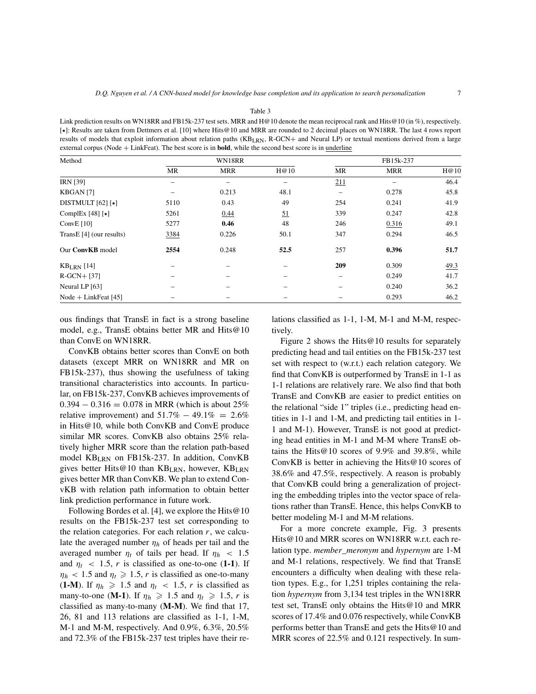Link prediction results on WN18RR and FB15k-237 test sets. MRR and H@10 denote the mean reciprocal rank and Hits@10 (in %), respectively. [⋆]: Results are taken from Dettmers et al. [10] where Hits@10 and MRR are rounded to 2 decimal places on WN18RR. The last 4 rows report results of models that exploit information about relation paths (KB<sub>LRN</sub>, R-GCN+ and Neural LP) or textual mentions derived from a large external corpus (Node + LinkFeat). The best score is in **bold**, while the second best score is in underline

| Method                      | WN18RR |            |           | FB15k-237                |            |      |
|-----------------------------|--------|------------|-----------|--------------------------|------------|------|
|                             | MR     | <b>MRR</b> | H@10      | MR                       | <b>MRR</b> | H@10 |
| <b>IRN</b> [39]             |        |            |           | 211                      |            | 46.4 |
| KBGAN <sub>[7]</sub>        |        | 0.213      | 48.1      | $\overline{\phantom{0}}$ | 0.278      | 45.8 |
| DISTMULT $[62]$ [ $\star$ ] | 5110   | 0.43       | 49        | 254                      | 0.241      | 41.9 |
| ComplEx [48] [ $\star$ ]    | 5261   | 0.44       | <u>51</u> | 339                      | 0.247      | 42.8 |
| Conv $E$ [10]               | 5277   | 0.46       | 48        | 246                      | 0.316      | 49.1 |
| TransE [4] (our results)    | 3384   | 0.226      | 50.1      | 347                      | 0.294      | 46.5 |
| Our ConvKB model            | 2554   | 0.248      | 52.5      | 257                      | 0.396      | 51.7 |
| $KBLRN$ [14]                |        |            |           | 209                      | 0.309      | 49.3 |
| $R-GCN+$ [37]               |        |            |           |                          | 0.249      | 41.7 |
| Neural LP [63]              |        |            |           |                          | 0.240      | 36.2 |
| Node + LinkFeat $[45]$      |        |            |           |                          | 0.293      | 46.2 |

ous findings that TransE in fact is a strong baseline model, e.g., TransE obtains better MR and Hits@10 than ConvE on WN18RR.

ConvKB obtains better scores than ConvE on both datasets (except MRR on WN18RR and MR on FB15k-237), thus showing the usefulness of taking transitional characteristics into accounts. In particular, on FB15k-237, ConvKB achieves improvements of  $0.394 - 0.316 = 0.078$  in MRR (which is about 25% relative improvement) and  $51.7\% - 49.1\% = 2.6\%$ in Hits@10, while both ConvKB and ConvE produce similar MR scores. ConvKB also obtains 25% relatively higher MRR score than the relation path-based model KBLRN on FB15k-237. In addition, ConvKB gives better Hits@10 than KB<sub>LRN</sub>, however, KB<sub>LRN</sub> gives better MR than ConvKB. We plan to extend ConvKB with relation path information to obtain better link prediction performance in future work.

Following Bordes et al. [4], we explore the Hits@10 results on the FB15k-237 test set corresponding to the relation categories. For each relation  $r$ , we calculate the averaged number  $\eta_h$  of heads per tail and the averaged number  $\eta_t$  of tails per head. If  $\eta_h$  < 1.5 and  $\eta_t$  < 1.5, r is classified as one-to-one (1-1). If  $\eta_h$  < 1.5 and  $\eta_t \ge 1.5$ , r is classified as one-to-many (**1-M**). If  $\eta_h \ge 1.5$  and  $\eta_t < 1.5$ , r is classified as many-to-one (**M-1**). If  $\eta_h \ge 1.5$  and  $\eta_t \ge 1.5$ , r is classified as many-to-many (**M-M**). We find that 17, 26, 81 and 113 relations are classified as 1-1, 1-M, M-1 and M-M, respectively. And 0.9%, 6.3%, 20.5% and 72.3% of the FB15k-237 test triples have their relations classified as 1-1, 1-M, M-1 and M-M, respectively.

Figure 2 shows the Hits@10 results for separately predicting head and tail entities on the FB15k-237 test set with respect to (w.r.t.) each relation category. We find that ConvKB is outperformed by TransE in 1-1 as 1-1 relations are relatively rare. We also find that both TransE and ConvKB are easier to predict entities on the relational "side 1" triples (i.e., predicting head entities in 1-1 and 1-M, and predicting tail entities in 1- 1 and M-1). However, TransE is not good at predicting head entities in M-1 and M-M where TransE obtains the Hits@10 scores of 9.9% and 39.8%, while ConvKB is better in achieving the Hits@10 scores of 38.6% and 47.5%, respectively. A reason is probably that ConvKB could bring a generalization of projecting the embedding triples into the vector space of relations rather than TransE. Hence, this helps ConvKB to better modeling M-1 and M-M relations.

For a more concrete example, Fig. 3 presents Hits@10 and MRR scores on WN18RR w.r.t. each relation type. *member*\_*meronym* and *hypernym* are 1-M and M-1 relations, respectively. We find that TransE encounters a difficulty when dealing with these relation types. E.g., for 1,251 triples containing the relation *hypernym* from 3,134 test triples in the WN18RR test set, TransE only obtains the Hits@10 and MRR scores of 17.4% and 0.076 respectively, while ConvKB performs better than TransE and gets the Hits@10 and MRR scores of 22.5% and 0.121 respectively. In sum-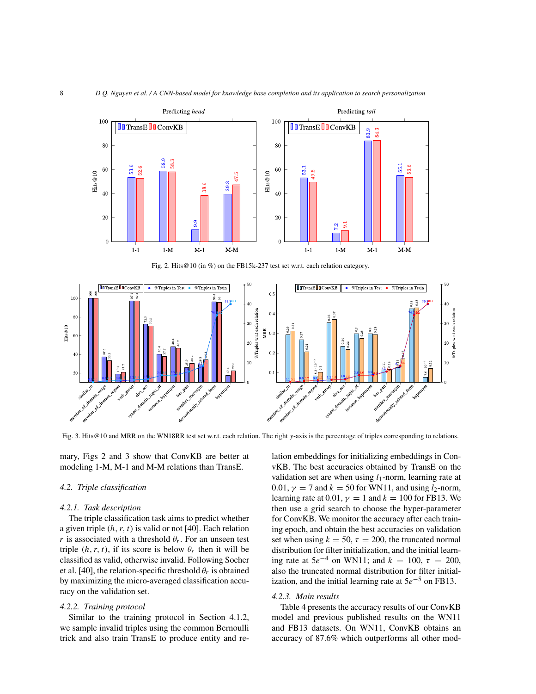

Fig. 2. Hits@10 (in %) on the FB15k-237 test set w.r.t. each relation category.



Fig. 3. Hits@10 and MRR on the WN18RR test set w.r.t. each relation. The right y-axis is the percentage of triples corresponding to relations.

mary, Figs 2 and 3 show that ConvKB are better at modeling 1-M, M-1 and M-M relations than TransE.

## *4.2. Triple classification*

### *4.2.1. Task description*

The triple classification task aims to predict whether a given triple  $(h, r, t)$  is valid or not [40]. Each relation *r* is associated with a threshold  $\theta_r$ . For an unseen test triple  $(h, r, t)$ , if its score is below  $\theta_r$  then it will be classified as valid, otherwise invalid. Following Socher et al. [40], the relation-specific threshold  $\theta_r$  is obtained by maximizing the micro-averaged classification accuracy on the validation set.

# *4.2.2. Training protocol*

Similar to the training protocol in Section 4.1.2, we sample invalid triples using the common Bernoulli trick and also train TransE to produce entity and relation embeddings for initializing embeddings in ConvKB. The best accuracies obtained by TransE on the validation set are when using  $l_1$ -norm, learning rate at 0.01,  $\gamma = 7$  and  $k = 50$  for WN11, and using  $l_2$ -norm, learning rate at 0.01,  $\gamma = 1$  and  $k = 100$  for FB13. We then use a grid search to choose the hyper-parameter for ConvKB. We monitor the accuracy after each training epoch, and obtain the best accuracies on validation set when using  $k = 50$ ,  $\tau = 200$ , the truncated normal distribution for filter initialization, and the initial learning rate at  $5e^{-4}$  on WN11; and  $k = 100$ ,  $\tau = 200$ , also the truncated normal distribution for filter initialization, and the initial learning rate at  $5e^{-5}$  on FB13.

### *4.2.3. Main results*

Table 4 presents the accuracy results of our ConvKB model and previous published results on the WN11 and FB13 datasets. On WN11, ConvKB obtains an accuracy of 87.6% which outperforms all other mod-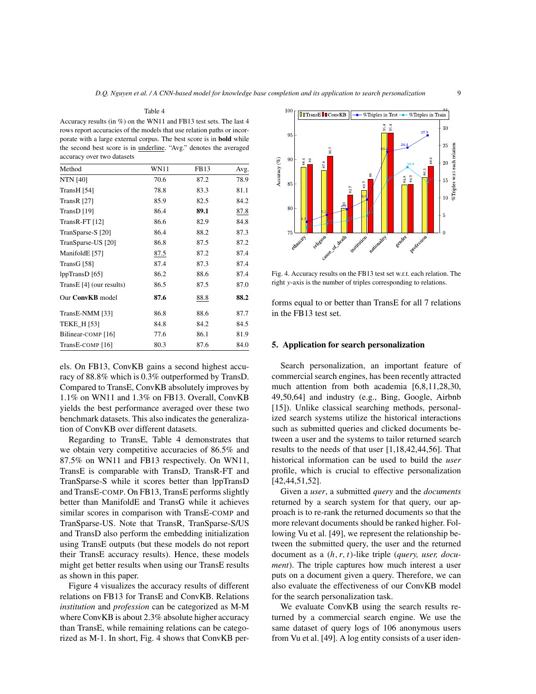Table 4 Accuracy results (in %) on the WN11 and FB13 test sets. The last 4 rows report accuracies of the models that use relation paths or incorporate with a large external corpus. The best score is in **bold** while the second best score is in underline. "Avg." denotes the averaged accuracy over two datasets

| Method                      | <b>WN11</b> | FB13 | Avg. |
|-----------------------------|-------------|------|------|
| <b>NTN</b> [40]             | 70.6        | 87.2 | 78.9 |
| TransH [54]                 | 78.8        | 83.3 | 81.1 |
| TransR $[27]$               | 85.9        | 82.5 | 84.2 |
| TransD $[19]$               | 86.4        | 89.1 | 87.8 |
| TransR-FT $[12]$            | 86.6        | 82.9 | 84.8 |
| TranSparse-S [20]           | 86.4        | 88.2 | 87.3 |
| TranSparse-US [20]          | 86.8        | 87.5 | 87.2 |
| ManifoldE [57]              | 87.5        | 87.2 | 87.4 |
| TransG [58]                 | 87.4        | 87.3 | 87.4 |
| lppTransD [65]              | 86.2        | 88.6 | 87.4 |
| TransE [4] (our results)    | 86.5        | 87.5 | 87.0 |
| Our ConvKB model            | 87.6        | 88.8 | 88.2 |
| TransE-NMM [33]             | 86.8        | 88.6 | 87.7 |
| <b>TEKE_H [53]</b>          | 84.8        | 84.2 | 84.5 |
| Bilinear-COMP [16]          | 77.6        | 86.1 | 81.9 |
| TransE-COMP <sup>[16]</sup> | 80.3        | 87.6 | 84.0 |

els. On FB13, ConvKB gains a second highest accuracy of 88.8% which is 0.3% outperformed by TransD. Compared to TransE, ConvKB absolutely improves by 1.1% on WN11 and 1.3% on FB13. Overall, ConvKB yields the best performance averaged over these two benchmark datasets. This also indicates the generalization of ConvKB over different datasets.

Regarding to TransE, Table 4 demonstrates that we obtain very competitive accuracies of 86.5% and 87.5% on WN11 and FB13 respectively. On WN11, TransE is comparable with TransD, TransR-FT and TranSparse-S while it scores better than lppTransD and TransE-COMP. On FB13, TransE performs slightly better than ManifoldE and TransG while it achieves similar scores in comparison with TransE-COMP and TranSparse-US. Note that TransR, TranSparse-S/US and TransD also perform the embedding initialization using TransE outputs (but these models do not report their TransE accuracy results). Hence, these models might get better results when using our TransE results as shown in this paper.

Figure 4 visualizes the accuracy results of different relations on FB13 for TransE and ConvKB. Relations *institution* and *profession* can be categorized as M-M where ConvKB is about 2.3% absolute higher accuracy than TransE, while remaining relations can be categorized as M-1. In short, Fig. 4 shows that ConvKB per-



Fig. 4. Accuracy results on the FB13 test set w.r.t. each relation. The right y-axis is the number of triples corresponding to relations.

forms equal to or better than TransE for all 7 relations in the FB13 test set.

## **5. Application for search personalization**

Search personalization, an important feature of commercial search engines, has been recently attracted much attention from both academia [6,8,11,28,30, 49,50,64] and industry (e.g., Bing, Google, Airbnb [15]). Unlike classical searching methods, personalized search systems utilize the historical interactions such as submitted queries and clicked documents between a user and the systems to tailor returned search results to the needs of that user [1,18,42,44,56]. That historical information can be used to build the *user* profile, which is crucial to effective personalization [42,44,51,52].

Given a *user*, a submitted *query* and the *documents* returned by a search system for that query, our approach is to re-rank the returned documents so that the more relevant documents should be ranked higher. Following Vu et al. [49], we represent the relationship between the submitted query, the user and the returned document as a (h, r, t)-like triple (*query, user, document*). The triple captures how much interest a user puts on a document given a query. Therefore, we can also evaluate the effectiveness of our ConvKB model for the search personalization task.

We evaluate ConvKB using the search results returned by a commercial search engine. We use the same dataset of query logs of 106 anonymous users from Vu et al. [49]. A log entity consists of a user iden-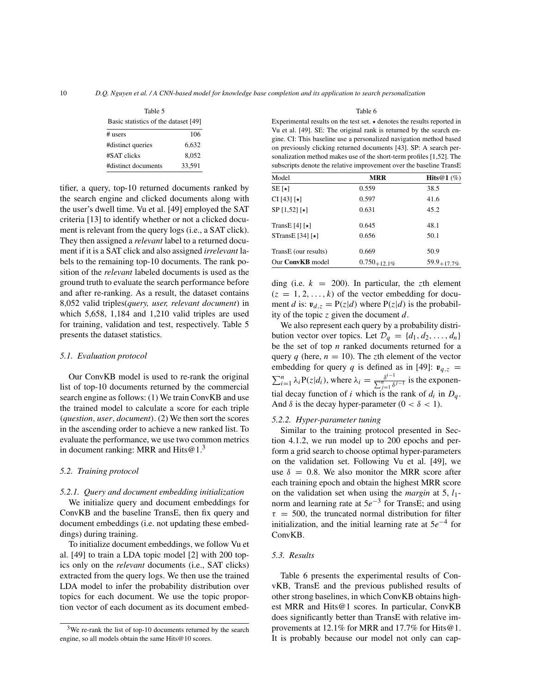| Table 5                              |        |  |
|--------------------------------------|--------|--|
| Basic statistics of the dataset [49] |        |  |
| $#$ users                            | 106    |  |
| #distinct queries                    | 6.632  |  |
| #SAT clicks                          | 8.052  |  |
| #distinct documents                  | 33,591 |  |

tifier, a query, top-10 returned documents ranked by the search engine and clicked documents along with the user's dwell time. Vu et al. [49] employed the SAT criteria [13] to identify whether or not a clicked document is relevant from the query logs (i.e., a SAT click). They then assigned a *relevant* label to a returned document if it is a SAT click and also assigned *irrelevant* labels to the remaining top-10 documents. The rank position of the *relevant* labeled documents is used as the ground truth to evaluate the search performance before and after re-ranking. As a result, the dataset contains 8,052 valid triples(*query, user, relevant document*) in which 5,658, 1,184 and 1,210 valid triples are used for training, validation and test, respectively. Table 5 presents the dataset statistics.

# *5.1. Evaluation protocol*

Our ConvKB model is used to re-rank the original list of top-10 documents returned by the commercial search engine as follows: (1) We train ConvKB and use the trained model to calculate a score for each triple (*question*, *user*, *document*). (2) We then sort the scores in the ascending order to achieve a new ranked list. To evaluate the performance, we use two common metrics in document ranking: MRR and Hits $@1.^3$ 

## *5.2. Training protocol*

#### *5.2.1. Query and document embedding initialization*

We initialize query and document embeddings for ConvKB and the baseline TransE, then fix query and document embeddings (i.e. not updating these embeddings) during training.

To initialize document embeddings, we follow Vu et al. [49] to train a LDA topic model [2] with 200 topics only on the *relevant* documents (i.e., SAT clicks) extracted from the query logs. We then use the trained LDA model to infer the probability distribution over topics for each document. We use the topic proportion vector of each document as its document embedTable 6

Experimental results on the test set.  $\star$  denotes the results reported in Vu et al. [49]. SE: The original rank is returned by the search engine. CI: This baseline use a personalized navigation method based on previously clicking returned documents [43]. SP: A search personalization method makes use of the short-term profiles [1,52]. The subscripts denote the relative improvement over the baseline TransE

| Model                    | <b>MRR</b>        | Hits@1 $(\%)$    |
|--------------------------|-------------------|------------------|
| $SE[\star]$              | 0.559             | 38.5             |
| $CI [43] [\star]$        | 0.597             | 41.6             |
| $SP [1, 52] [\star]$     | 0.631             | 45.2             |
| TransE [4] $[\star]$     | 0.645             | 48.1             |
| STransE [34] [ $\star$ ] | 0.656             | 50.1             |
| TransE (our results)     | 0.669             | 50.9             |
| Our ConvKB model         | $0.750_{+12.1\%}$ | $59.9_{+17.7\%}$ |

ding (i.e.  $k = 200$ ). In particular, the zth element  $(z = 1, 2, \ldots, k)$  of the vector embedding for document d is:  $v_{d,z} = P(z|d)$  where  $P(z|d)$  is the probability of the topic z given the document  $d$ .

We also represent each query by a probability distribution vector over topics. Let  $\mathcal{D}_q = \{d_1, d_2, \ldots, d_n\}$ be the set of top  $n$  ranked documents returned for a query q (here,  $n = 10$ ). The zth element of the vector embedding for query q is defined as in [49]:  $v_{q,z}$  = embedding for query q is defined as in [49]:  $v_{q,z} = \sum_{i=1}^{n} \lambda_i P(z|d_i)$ , where  $\lambda_i = \frac{\delta^{i-1}}{\sum_{j=1}^{n} \delta^{j-1}}$  is the exponential decay function of i which is the rank of  $d_i$  in  $D_q$ . And  $\delta$  is the decay hyper-parameter  $(0 < \delta < 1)$ .

## *5.2.2. Hyper-parameter tuning*

Similar to the training protocol presented in Section 4.1.2, we run model up to 200 epochs and perform a grid search to choose optimal hyper-parameters on the validation set. Following Vu et al. [49], we use  $\delta = 0.8$ . We also monitor the MRR score after each training epoch and obtain the highest MRR score on the validation set when using the *margin* at  $5$ ,  $l_1$ norm and learning rate at  $5e^{-3}$  for TransE; and using  $\tau = 500$ , the truncated normal distribution for filter initialization, and the initial learning rate at  $5e^{-4}$  for ConvKB.

# *5.3. Results*

Table 6 presents the experimental results of ConvKB, TransE and the previous published results of other strong baselines, in which ConvKB obtains highest MRR and Hits@1 scores. In particular, ConvKB does significantly better than TransE with relative improvements at 12.1% for MRR and 17.7% for Hits@1. It is probably because our model not only can cap-

 $3$ We re-rank the list of top-10 documents returned by the search engine, so all models obtain the same Hits@10 scores.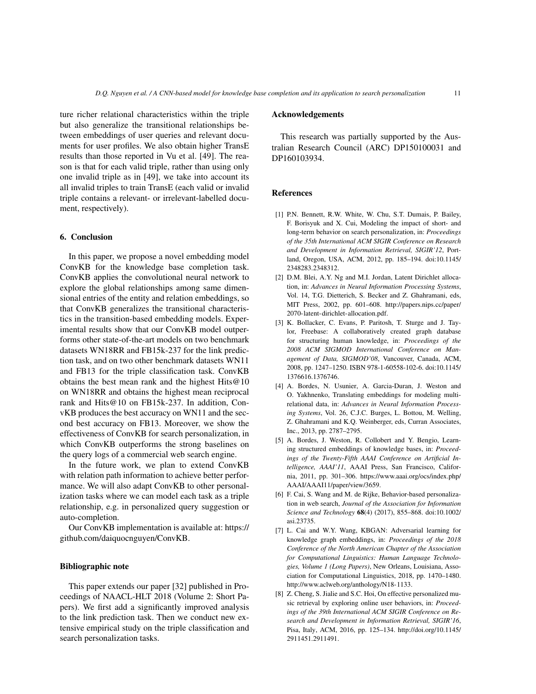ture richer relational characteristics within the triple but also generalize the transitional relationships between embeddings of user queries and relevant documents for user profiles. We also obtain higher TransE results than those reported in Vu et al. [49]. The reason is that for each valid triple, rather than using only one invalid triple as in [49], we take into account its all invalid triples to train TransE (each valid or invalid triple contains a relevant- or irrelevant-labelled document, respectively).

# **6. Conclusion**

In this paper, we propose a novel embedding model ConvKB for the knowledge base completion task. ConvKB applies the convolutional neural network to explore the global relationships among same dimensional entries of the entity and relation embeddings, so that ConvKB generalizes the transitional characteristics in the transition-based embedding models. Experimental results show that our ConvKB model outperforms other state-of-the-art models on two benchmark datasets WN18RR and FB15k-237 for the link prediction task, and on two other benchmark datasets WN11 and FB13 for the triple classification task. ConvKB obtains the best mean rank and the highest Hits@10 on WN18RR and obtains the highest mean reciprocal rank and Hits@10 on FB15k-237. In addition, ConvKB produces the best accuracy on WN11 and the second best accuracy on FB13. Moreover, we show the effectiveness of ConvKB for search personalization, in which ConvKB outperforms the strong baselines on the query logs of a commercial web search engine.

In the future work, we plan to extend ConvKB with relation path information to achieve better performance. We will also adapt ConvKB to other personalization tasks where we can model each task as a triple relationship, e.g. in personalized query suggestion or auto-completion.

Our ConvKB implementation is available at: https:// github.com/daiquocnguyen/ConvKB.

# **Bibliographic note**

This paper extends our paper [32] published in Proceedings of NAACL-HLT 2018 (Volume 2: Short Papers). We first add a significantly improved analysis to the link prediction task. Then we conduct new extensive empirical study on the triple classification and search personalization tasks.

# **Acknowledgements**

This research was partially supported by the Australian Research Council (ARC) DP150100031 and DP160103934.

# **References**

- [1] P.N. Bennett, R.W. White, W. Chu, S.T. Dumais, P. Bailey, F. Borisyuk and X. Cui, Modeling the impact of short- and long-term behavior on search personalization, in: *Proceedings of the 35th International ACM SIGIR Conference on Research and Development in Information Retrieval, SIGIR'12*, Portland, Oregon, USA, ACM, 2012, pp. 185–194. doi:10.1145/ 2348283.2348312.
- [2] D.M. Blei, A.Y. Ng and M.I. Jordan, Latent Dirichlet allocation, in: *Advances in Neural Information Processing Systems*, Vol. 14, T.G. Dietterich, S. Becker and Z. Ghahramani, eds, MIT Press, 2002, pp. 601–608. http://papers.nips.cc/paper/ 2070-latent-dirichlet-allocation.pdf.
- [3] K. Bollacker, C. Evans, P. Paritosh, T. Sturge and J. Taylor, Freebase: A collaboratively created graph database for structuring human knowledge, in: *Proceedings of the 2008 ACM SIGMOD International Conference on Management of Data, SIGMOD'08*, Vancouver, Canada, ACM, 2008, pp. 1247–1250. ISBN 978-1-60558-102-6. doi:10.1145/ 1376616.1376746.
- [4] A. Bordes, N. Usunier, A. Garcia-Duran, J. Weston and O. Yakhnenko, Translating embeddings for modeling multirelational data, in: *Advances in Neural Information Processing Systems*, Vol. 26, C.J.C. Burges, L. Bottou, M. Welling, Z. Ghahramani and K.Q. Weinberger, eds, Curran Associates, Inc., 2013, pp. 2787–2795.
- [5] A. Bordes, J. Weston, R. Collobert and Y. Bengio, Learning structured embeddings of knowledge bases, in: *Proceedings of the Twenty-Fifth AAAI Conference on Artificial Intelligence, AAAI'11*, AAAI Press, San Francisco, California, 2011, pp. 301–306. https://www.aaai.org/ocs/index.php/ AAAI/AAAI11/paper/view/3659.
- [6] F. Cai, S. Wang and M. de Rijke, Behavior-based personalization in web search, *Journal of the Association for Information Science and Technology* **68**(4) (2017), 855–868. doi:10.1002/ asi.23735.
- [7] L. Cai and W.Y. Wang, KBGAN: Adversarial learning for knowledge graph embeddings, in: *Proceedings of the 2018 Conference of the North American Chapter of the Association for Computational Linguistics: Human Language Technologies, Volume 1 (Long Papers)*, New Orleans, Louisiana, Association for Computational Linguistics, 2018, pp. 1470–1480. http://www.aclweb.org/anthology/N18-1133.
- [8] Z. Cheng, S. Jialie and S.C. Hoi, On effective personalized music retrieval by exploring online user behaviors, in: *Proceedings of the 39th International ACM SIGIR Conference on Research and Development in Information Retrieval, SIGIR'16*, Pisa, Italy, ACM, 2016, pp. 125–134. http://doi.org/10.1145/ 2911451.2911491.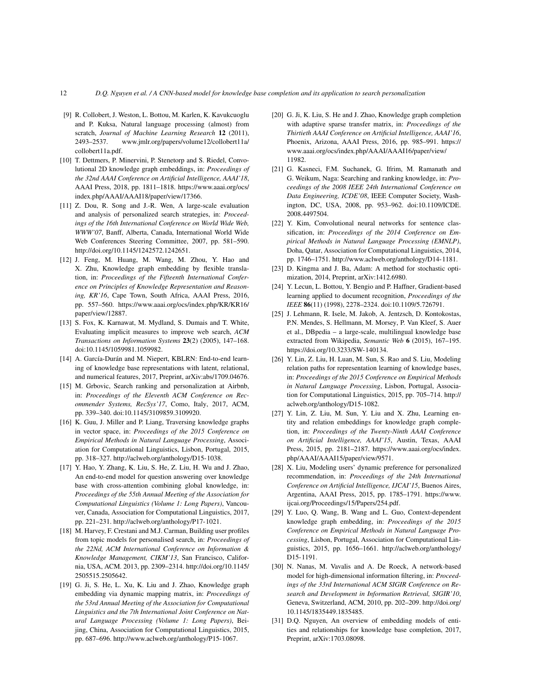- [9] R. Collobert, J. Weston, L. Bottou, M. Karlen, K. Kavukcuoglu and P. Kuksa, Natural language processing (almost) from scratch, *Journal of Machine Learning Research* **12** (2011), 2493–2537. www.jmlr.org/papers/volume12/collobert11a/ collobert11a.pdf.
- [10] T. Dettmers, P. Minervini, P. Stenetorp and S. Riedel, Convolutional 2D knowledge graph embeddings, in: *Proceedings of the 32nd AAAI Conference on Artificial Intelligence, AAAI'18*, AAAI Press, 2018, pp. 1811–1818. https://www.aaai.org/ocs/ index.php/AAAI/AAAI18/paper/view/17366.
- [11] Z. Dou, R. Song and J.-R. Wen, A large-scale evaluation and analysis of personalized search strategies, in: *Proceedings of the 16th International Conference on World Wide Web, WWW'07*, Banff, Alberta, Canada, International World Wide Web Conferences Steering Committee, 2007, pp. 581–590. http://doi.org/10.1145/1242572.1242651.
- [12] J. Feng, M. Huang, M. Wang, M. Zhou, Y. Hao and X. Zhu, Knowledge graph embedding by flexible translation, in: *Proceedings of the Fifteenth International Conference on Principles of Knowledge Representation and Reasoning, KR'16*, Cape Town, South Africa, AAAI Press, 2016, pp. 557–560. https://www.aaai.org/ocs/index.php/KR/KR16/ paper/view/12887.
- [13] S. Fox, K. Karnawat, M. Mydland, S. Dumais and T. White, Evaluating implicit measures to improve web search, *ACM Transactions on Information Systems* **23**(2) (2005), 147–168. doi:10.1145/1059981.1059982.
- [14] A. García-Durán and M. Niepert, KBLRN: End-to-end learning of knowledge base representations with latent, relational, and numerical features, 2017, Preprint, arXiv:abs/1709.04676.
- [15] M. Grbovic, Search ranking and personalization at Airbnb, in: *Proceedings of the Eleventh ACM Conference on Recommender Systems, RecSys'17*, Como, Italy, 2017, ACM, pp. 339–340. doi:10.1145/3109859.3109920.
- [16] K. Guu, J. Miller and P. Liang, Traversing knowledge graphs in vector space, in: *Proceedings of the 2015 Conference on Empirical Methods in Natural Language Processing*, Association for Computational Linguistics, Lisbon, Portugal, 2015, pp. 318–327. http://aclweb.org/anthology/D15-1038.
- [17] Y. Hao, Y. Zhang, K. Liu, S. He, Z. Liu, H. Wu and J. Zhao, An end-to-end model for question answering over knowledge base with cross-attention combining global knowledge, in: *Proceedings of the 55th Annual Meeting of the Association for Computational Linguistics (Volume 1: Long Papers)*, Vancouver, Canada, Association for Computational Linguistics, 2017, pp. 221–231. http://aclweb.org/anthology/P17-1021.
- [18] M. Harvey, F. Crestani and M.J. Carman, Building user profiles from topic models for personalised search, in: *Proceedings of the 22Nd, ACM International Conference on Information & Knowledge Management, CIKM'13*, San Francisco, California, USA, ACM. 2013, pp. 2309–2314. http://doi.org/10.1145/ 2505515.2505642.
- [19] G. Ji, S. He, L. Xu, K. Liu and J. Zhao, Knowledge graph embedding via dynamic mapping matrix, in: *Proceedings of the 53rd Annual Meeting of the Association for Computational Linguistics and the 7th International Joint Conference on Natural Language Processing (Volume 1: Long Papers)*, Beijing, China, Association for Computational Linguistics, 2015, pp. 687–696. http://www.aclweb.org/anthology/P15-1067.
- [20] G. Ji, K. Liu, S. He and J. Zhao, Knowledge graph completion with adaptive sparse transfer matrix, in: *Proceedings of the Thirtieth AAAI Conference on Artificial Intelligence, AAAI'16*, Phoenix, Arizona, AAAI Press, 2016, pp. 985–991. https:// www.aaai.org/ocs/index.php/AAAI/AAAI16/paper/view/ 11982.
- [21] G. Kasneci, F.M. Suchanek, G. Ifrim, M. Ramanath and G. Weikum, Naga: Searching and ranking knowledge, in: *Proceedings of the 2008 IEEE 24th International Conference on Data Engineering, ICDE'08*, IEEE Computer Society, Washington, DC, USA, 2008, pp. 953–962. doi:10.1109/ICDE. 2008.4497504.
- [22] Y. Kim, Convolutional neural networks for sentence classification, in: *Proceedings of the 2014 Conference on Empirical Methods in Natural Language Processing (EMNLP)*, Doha, Qatar, Association for Computational Linguistics, 2014, pp. 1746–1751. http://www.aclweb.org/anthology/D14-1181.
- [23] D. Kingma and J. Ba, Adam: A method for stochastic optimization, 2014, Preprint, arXiv:1412.6980.
- [24] Y. Lecun, L. Bottou, Y. Bengio and P. Haffner, Gradient-based learning applied to document recognition, *Proceedings of the IEEE* **86**(11) (1998), 2278–2324. doi:10.1109/5.726791.
- [25] J. Lehmann, R. Isele, M. Jakob, A. Jentzsch, D. Kontokostas, P.N. Mendes, S. Hellmann, M. Morsey, P. Van Kleef, S. Auer et al., DBpedia – a large-scale, multilingual knowledge base extracted from Wikipedia, *Semantic Web* **6** (2015), 167–195. https://doi.org/10.3233/SW-140134.
- [26] Y. Lin, Z. Liu, H. Luan, M. Sun, S. Rao and S. Liu, Modeling relation paths for representation learning of knowledge bases, in: *Proceedings of the 2015 Conference on Empirical Methods in Natural Language Processing*, Lisbon, Portugal, Association for Computational Linguistics, 2015, pp. 705–714. http:// aclweb.org/anthology/D15-1082.
- [27] Y. Lin, Z. Liu, M. Sun, Y. Liu and X. Zhu, Learning entity and relation embeddings for knowledge graph completion, in: *Proceedings of the Twenty-Ninth AAAI Conference on Artificial Intelligence, AAAI'15*, Austin, Texas, AAAI Press, 2015, pp. 2181–2187. https://www.aaai.org/ocs/index. php/AAAI/AAAI15/paper/view/9571.
- [28] X. Liu, Modeling users' dynamic preference for personalized recommendation, in: *Proceedings of the 24th International Conference on Artificial Intelligence, IJCAI'15*, Buenos Aires, Argentina, AAAI Press, 2015, pp. 1785–1791. https://www. ijcai.org/Proceedings/15/Papers/254.pdf.
- [29] Y. Luo, Q. Wang, B. Wang and L. Guo, Context-dependent knowledge graph embedding, in: *Proceedings of the 2015 Conference on Empirical Methods in Natural Language Processing*, Lisbon, Portugal, Association for Computational Linguistics, 2015, pp. 1656–1661. http://aclweb.org/anthology/ D15-1191.
- [30] N. Nanas, M. Vavalis and A. De Roeck, A network-based model for high-dimensional information filtering, in: *Proceedings of the 33rd International ACM SIGIR Conference on Research and Development in Information Retrieval, SIGIR'10*, Geneva, Switzerland, ACM, 2010, pp. 202–209. http://doi.org/ 10.1145/1835449.1835485.
- [31] D.Q. Nguyen, An overview of embedding models of entities and relationships for knowledge base completion, 2017, Preprint, arXiv:1703.08098.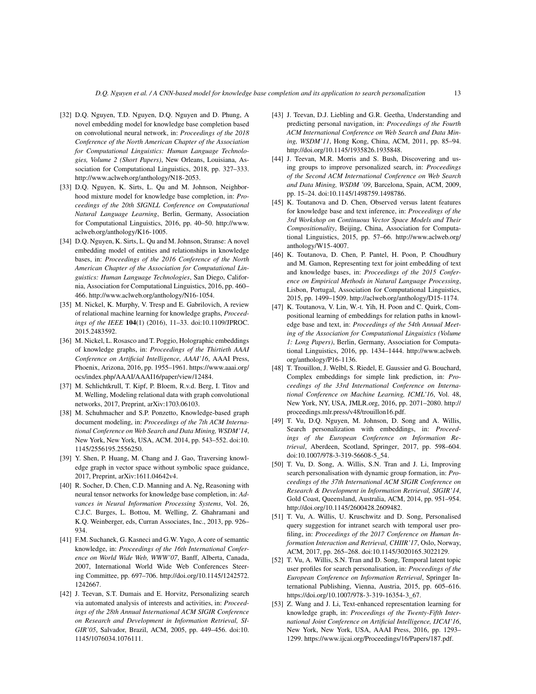- [32] D.Q. Nguyen, T.D. Nguyen, D.Q. Nguyen and D. Phung, A novel embedding model for knowledge base completion based on convolutional neural network, in: *Proceedings of the 2018 Conference of the North American Chapter of the Association for Computational Linguistics: Human Language Technologies, Volume 2 (Short Papers)*, New Orleans, Louisiana, Association for Computational Linguistics, 2018, pp. 327–333. http://www.aclweb.org/anthology/N18-2053.
- [33] D.Q. Nguyen, K. Sirts, L. Qu and M. Johnson, Neighborhood mixture model for knowledge base completion, in: *Proceedings of the 20th SIGNLL Conference on Computational Natural Language Learning*, Berlin, Germany, Association for Computational Linguistics, 2016, pp. 40–50. http://www. aclweb.org/anthology/K16-1005.
- [34] D.Q. Nguyen, K. Sirts, L. Qu and M. Johnson, Stranse: A novel embedding model of entities and relationships in knowledge bases, in: *Proceedings of the 2016 Conference of the North American Chapter of the Association for Computational Linguistics: Human Language Technologies*, San Diego, California, Association for Computational Linguistics, 2016, pp. 460– 466. http://www.aclweb.org/anthology/N16-1054.
- [35] M. Nickel, K. Murphy, V. Tresp and E. Gabrilovich, A review of relational machine learning for knowledge graphs, *Proceedings of the IEEE* **104**(1) (2016), 11–33. doi:10.1109/JPROC. 2015.2483592.
- [36] M. Nickel, L. Rosasco and T. Poggio, Holographic embeddings of knowledge graphs, in: *Proceedings of the Thirtieth AAAI Conference on Artificial Intelligence, AAAI'16*, AAAI Press, Phoenix, Arizona, 2016, pp. 1955–1961. https://www.aaai.org/ ocs/index.php/AAAI/AAAI16/paper/view/12484.
- [37] M. Schlichtkrull, T. Kipf, P. Bloem, R.v.d. Berg, I. Titov and M. Welling, Modeling relational data with graph convolutional networks, 2017, Preprint, arXiv:1703.06103.
- [38] M. Schuhmacher and S.P. Ponzetto, Knowledge-based graph document modeling, in: *Proceedings of the 7th ACM International Conference on Web Search and Data Mining, WSDM'14*, New York, New York, USA, ACM. 2014, pp. 543–552. doi:10. 1145/2556195.2556250.
- [39] Y. Shen, P. Huang, M. Chang and J. Gao, Traversing knowledge graph in vector space without symbolic space guidance, 2017, Preprint, arXiv:1611.04642v4.
- [40] R. Socher, D. Chen, C.D. Manning and A. Ng, Reasoning with neural tensor networks for knowledge base completion, in: *Advances in Neural Information Processing Systems*, Vol. 26, C.J.C. Burges, L. Bottou, M. Welling, Z. Ghahramani and K.Q. Weinberger, eds, Curran Associates, Inc., 2013, pp. 926– 934.
- [41] F.M. Suchanek, G. Kasneci and G.W. Yago, A core of semantic knowledge, in: *Proceedings of the 16th International Conference on World Wide Web, WWW'07*, Banff, Alberta, Canada, 2007, International World Wide Web Conferences Steering Committee, pp. 697–706. http://doi.org/10.1145/1242572. 1242667.
- [42] J. Teevan, S.T. Dumais and E. Horvitz, Personalizing search via automated analysis of interests and activities, in: *Proceedings of the 28th Annual International ACM SIGIR Conference on Research and Development in Information Retrieval, SI-GIR'05*, Salvador, Brazil, ACM, 2005, pp. 449–456. doi:10. 1145/1076034.1076111.
- [43] J. Teevan, D.J. Liebling and G.R. Geetha, Understanding and predicting personal navigation, in: *Proceedings of the Fourth ACM International Conference on Web Search and Data Mining, WSDM'11*, Hong Kong, China, ACM, 2011, pp. 85–94. http://doi.org/10.1145/1935826.1935848.
- [44] J. Teevan, M.R. Morris and S. Bush, Discovering and using groups to improve personalized search, in: *Proceedings of the Second ACM International Conference on Web Search and Data Mining, WSDM '09*, Barcelona, Spain, ACM, 2009, pp. 15–24. doi:10.1145/1498759.1498786.
- [45] K. Toutanova and D. Chen, Observed versus latent features for knowledge base and text inference, in: *Proceedings of the 3rd Workshop on Continuous Vector Space Models and Their Compositionality*, Beijing, China, Association for Computational Linguistics, 2015, pp. 57–66. http://www.aclweb.org/ anthology/W15-4007.
- [46] K. Toutanova, D. Chen, P. Pantel, H. Poon, P. Choudhury and M. Gamon, Representing text for joint embedding of text and knowledge bases, in: *Proceedings of the 2015 Conference on Empirical Methods in Natural Language Processing*, Lisbon, Portugal, Association for Computational Linguistics, 2015, pp. 1499–1509. http://aclweb.org/anthology/D15-1174.
- [47] K. Toutanova, V. Lin, W.-t. Yih, H. Poon and C. Quirk, Compositional learning of embeddings for relation paths in knowledge base and text, in: *Proceedings of the 54th Annual Meeting of the Association for Computational Linguistics (Volume 1: Long Papers)*, Berlin, Germany, Association for Computational Linguistics, 2016, pp. 1434–1444. http://www.aclweb. org/anthology/P16-1136.
- [48] T. Trouillon, J. Welbl, S. Riedel, E. Gaussier and G. Bouchard, Complex embeddings for simple link prediction, in: *Proceedings of the 33rd International Conference on International Conference on Machine Learning, ICML'16*, Vol. 48, New York, NY, USA, JMLR.org, 2016, pp. 2071–2080. http:// proceedings.mlr.press/v48/trouillon16.pdf.
- [49] T. Vu, D.Q. Nguyen, M. Johnson, D. Song and A. Willis, Search personalization with embeddings, in: *Proceedings of the European Conference on Information Retrieval*, Aberdeen, Scotland, Springer, 2017, pp. 598–604. doi:10.1007/978-3-319-56608-5\_54.
- [50] T. Vu, D. Song, A. Willis, S.N. Tran and J. Li, Improving search personalisation with dynamic group formation, in: *Proceedings of the 37th International ACM SIGIR Conference on Research & Development in Information Retrieval, SIGIR'14*, Gold Coast, Queensland, Australia, ACM, 2014, pp. 951–954. http://doi.org/10.1145/2600428.2609482.
- [51] T. Vu, A. Willis, U. Kruschwitz and D. Song, Personalised query suggestion for intranet search with temporal user profiling, in: *Proceedings of the 2017 Conference on Human Information Interaction and Retrieval, CHIIR'17*, Oslo, Norway, ACM, 2017, pp. 265–268. doi:10.1145/3020165.3022129.
- [52] T. Vu, A. Willis, S.N. Tran and D. Song, Temporal latent topic user profiles for search personalisation, in: *Proceedings of the European Conference on Information Retrieval*, Springer International Publishing, Vienna, Austria, 2015, pp. 605–616. https://doi.org/10.1007/978-3-319-16354-3\_67.
- [53] Z. Wang and J. Li, Text-enhanced representation learning for knowledge graph, in: *Proceedings of the Twenty-Fifth International Joint Conference on Artificial Intelligence, IJCAI'16*, New York, New York, USA, AAAI Press, 2016, pp. 1293– 1299. https://www.ijcai.org/Proceedings/16/Papers/187.pdf.